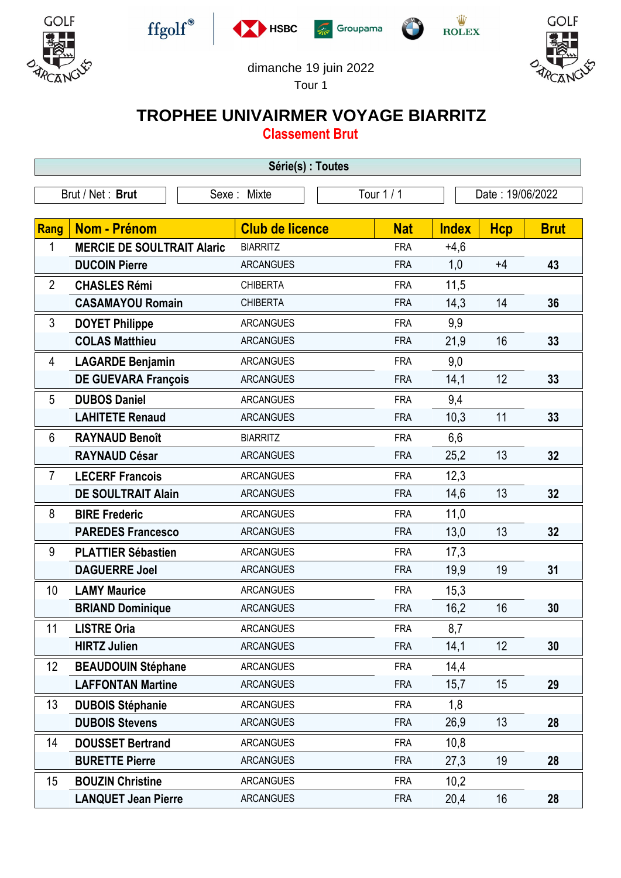











## dimanche 19 juin 2022

 $\sqrt{2}$ 

Tour 1

## **TROPHEE UNIVAIRMER VOYAGE BIARRITZ**

**Classement Brut**

| Série(s) : Toutes |                                   |                        |            |                  |            |             |  |
|-------------------|-----------------------------------|------------------------|------------|------------------|------------|-------------|--|
|                   | Brut / Net: Brut                  | Sexe: Mixte            | Tour 1 / 1 | Date: 19/06/2022 |            |             |  |
| Rang              | Nom - Prénom                      | <b>Club de licence</b> | <b>Nat</b> | <b>Index</b>     | <b>Hcp</b> | <b>Brut</b> |  |
| 1                 | <b>MERCIE DE SOULTRAIT Alaric</b> | <b>BIARRITZ</b>        | <b>FRA</b> | $+4,6$           |            |             |  |
|                   | <b>DUCOIN Pierre</b>              | <b>ARCANGUES</b>       | <b>FRA</b> | 1,0              | $+4$       | 43          |  |
| $\overline{2}$    | <b>CHASLES Rémi</b>               | <b>CHIBERTA</b>        | <b>FRA</b> | 11,5             |            |             |  |
|                   | <b>CASAMAYOU Romain</b>           | <b>CHIBERTA</b>        | <b>FRA</b> | 14,3             | 14         | 36          |  |
| 3                 | <b>DOYET Philippe</b>             | <b>ARCANGUES</b>       | <b>FRA</b> | 9,9              |            |             |  |
|                   | <b>COLAS Matthieu</b>             | <b>ARCANGUES</b>       | <b>FRA</b> | 21,9             | 16         | 33          |  |
| 4                 | <b>LAGARDE Benjamin</b>           | <b>ARCANGUES</b>       | <b>FRA</b> | 9,0              |            |             |  |
|                   | <b>DE GUEVARA François</b>        | <b>ARCANGUES</b>       | <b>FRA</b> | 14,1             | 12         | 33          |  |
| 5                 | <b>DUBOS Daniel</b>               | <b>ARCANGUES</b>       | <b>FRA</b> | 9,4              |            |             |  |
|                   | <b>LAHITETE Renaud</b>            | <b>ARCANGUES</b>       | <b>FRA</b> | 10,3             | 11         | 33          |  |
| 6                 | <b>RAYNAUD Benoît</b>             | <b>BIARRITZ</b>        | <b>FRA</b> | 6,6              |            |             |  |
|                   | <b>RAYNAUD César</b>              | <b>ARCANGUES</b>       | <b>FRA</b> | 25,2             | 13         | 32          |  |
| $\overline{7}$    | <b>LECERF Francois</b>            | <b>ARCANGUES</b>       | <b>FRA</b> | 12,3             |            |             |  |
|                   | <b>DE SOULTRAIT Alain</b>         | <b>ARCANGUES</b>       | <b>FRA</b> | 14,6             | 13         | 32          |  |
| 8                 | <b>BIRE Frederic</b>              | <b>ARCANGUES</b>       | <b>FRA</b> | 11,0             |            |             |  |
|                   | <b>PAREDES Francesco</b>          | <b>ARCANGUES</b>       | <b>FRA</b> | 13,0             | 13         | 32          |  |
| 9                 | <b>PLATTIER Sébastien</b>         | <b>ARCANGUES</b>       | <b>FRA</b> | 17,3             |            |             |  |
|                   | <b>DAGUERRE Joel</b>              | <b>ARCANGUES</b>       | <b>FRA</b> | 19,9             | 19         | 31          |  |
| 10                | <b>LAMY Maurice</b>               | <b>ARCANGUES</b>       | <b>FRA</b> | 15,3             |            |             |  |
|                   | <b>BRIAND Dominique</b>           | <b>ARCANGUES</b>       | <b>FRA</b> | 16,2             | 16         | 30          |  |
| 11                | <b>LISTRE Oria</b>                | <b>ARCANGUES</b>       | <b>FRA</b> | 8,7              |            |             |  |
|                   | <b>HIRTZ Julien</b>               | <b>ARCANGUES</b>       | <b>FRA</b> | 14,1             | 12         | 30          |  |
| 12                | <b>BEAUDOUIN Stéphane</b>         | <b>ARCANGUES</b>       | <b>FRA</b> | 14,4             |            |             |  |
|                   | <b>LAFFONTAN Martine</b>          | <b>ARCANGUES</b>       | <b>FRA</b> | 15,7             | 15         | 29          |  |
| 13                | <b>DUBOIS Stéphanie</b>           | <b>ARCANGUES</b>       | <b>FRA</b> | 1,8              |            |             |  |
|                   | <b>DUBOIS Stevens</b>             | <b>ARCANGUES</b>       | <b>FRA</b> | 26,9             | 13         | 28          |  |
| 14                | <b>DOUSSET Bertrand</b>           | <b>ARCANGUES</b>       | <b>FRA</b> | 10,8             |            |             |  |
|                   | <b>BURETTE Pierre</b>             | <b>ARCANGUES</b>       | <b>FRA</b> | 27,3             | 19         | 28          |  |
| 15                | <b>BOUZIN Christine</b>           | <b>ARCANGUES</b>       | <b>FRA</b> | 10,2             |            |             |  |
|                   | <b>LANQUET Jean Pierre</b>        | <b>ARCANGUES</b>       | <b>FRA</b> | 20,4             | 16         | 28          |  |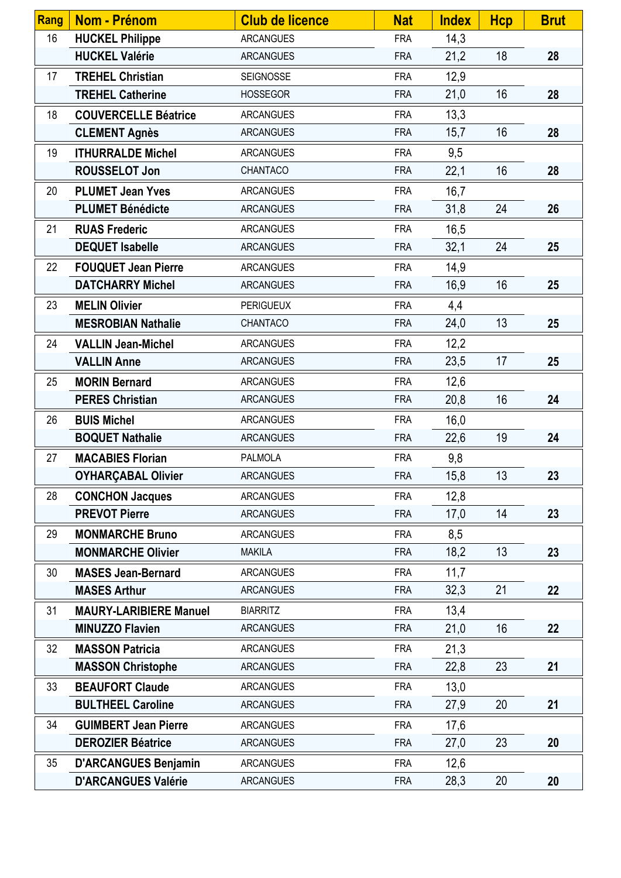| <b>Rang</b> | Nom - Prénom                  | <b>Club de licence</b> | <b>Nat</b> | <b>Index</b> | <b>Hcp</b>      | <b>Brut</b> |
|-------------|-------------------------------|------------------------|------------|--------------|-----------------|-------------|
| 16          | <b>HUCKEL Philippe</b>        | <b>ARCANGUES</b>       | <b>FRA</b> | 14,3         |                 |             |
|             | <b>HUCKEL Valérie</b>         | <b>ARCANGUES</b>       | <b>FRA</b> | 21,2         | 18              | 28          |
| 17          | <b>TREHEL Christian</b>       | <b>SEIGNOSSE</b>       | <b>FRA</b> | 12,9         |                 |             |
|             | <b>TREHEL Catherine</b>       | <b>HOSSEGOR</b>        | <b>FRA</b> | 21,0         | 16              | 28          |
| 18          | <b>COUVERCELLE Béatrice</b>   | <b>ARCANGUES</b>       | <b>FRA</b> | 13,3         |                 |             |
|             | <b>CLEMENT Agnès</b>          | <b>ARCANGUES</b>       | <b>FRA</b> | 15,7         | 16              | 28          |
| 19          | <b>ITHURRALDE Michel</b>      | <b>ARCANGUES</b>       | <b>FRA</b> | 9,5          |                 |             |
|             | <b>ROUSSELOT Jon</b>          | CHANTACO               | <b>FRA</b> | 22,1         | 16              | 28          |
| 20          | <b>PLUMET Jean Yves</b>       | <b>ARCANGUES</b>       | <b>FRA</b> | 16,7         |                 |             |
|             | <b>PLUMET Bénédicte</b>       | <b>ARCANGUES</b>       | <b>FRA</b> | 31,8         | 24              | 26          |
| 21          | <b>RUAS Frederic</b>          | <b>ARCANGUES</b>       | <b>FRA</b> | 16,5         |                 |             |
|             | <b>DEQUET Isabelle</b>        | <b>ARCANGUES</b>       | <b>FRA</b> | 32,1         | 24              | 25          |
| 22          | <b>FOUQUET Jean Pierre</b>    | <b>ARCANGUES</b>       | <b>FRA</b> | 14,9         |                 |             |
|             | <b>DATCHARRY Michel</b>       | <b>ARCANGUES</b>       | <b>FRA</b> | 16,9         | 16              | 25          |
| 23          | <b>MELIN Olivier</b>          | <b>PERIGUEUX</b>       | <b>FRA</b> | 4,4          |                 |             |
|             | <b>MESROBIAN Nathalie</b>     | CHANTACO               | <b>FRA</b> | 24,0         | 13              | 25          |
| 24          | <b>VALLIN Jean-Michel</b>     | <b>ARCANGUES</b>       | <b>FRA</b> | 12,2         |                 |             |
|             | <b>VALLIN Anne</b>            | <b>ARCANGUES</b>       | <b>FRA</b> | 23,5         | 17              | 25          |
| 25          | <b>MORIN Bernard</b>          | <b>ARCANGUES</b>       | <b>FRA</b> | 12,6         |                 |             |
|             | <b>PERES Christian</b>        | <b>ARCANGUES</b>       | <b>FRA</b> | 20,8         | 16              | 24          |
| 26          | <b>BUIS Michel</b>            | <b>ARCANGUES</b>       | <b>FRA</b> | 16,0         |                 |             |
|             | <b>BOQUET Nathalie</b>        | <b>ARCANGUES</b>       | <b>FRA</b> | 22,6         | 19              | 24          |
| 27          | <b>MACABIES Florian</b>       | <b>PALMOLA</b>         | <b>FRA</b> | 9,8          |                 |             |
|             | <b>OYHARÇABAL Olivier</b>     | <b>ARCANGUES</b>       | <b>FRA</b> | 15,8         | 13 <sup>°</sup> | 23          |
| 28          | <b>CONCHON Jacques</b>        | <b>ARCANGUES</b>       | <b>FRA</b> | 12,8         |                 |             |
|             | <b>PREVOT Pierre</b>          | <b>ARCANGUES</b>       | <b>FRA</b> | 17,0         | 14              | 23          |
| 29          | <b>MONMARCHE Bruno</b>        | <b>ARCANGUES</b>       | <b>FRA</b> | 8,5          |                 |             |
|             | <b>MONMARCHE Olivier</b>      | <b>MAKILA</b>          | <b>FRA</b> | 18,2         | 13              | 23          |
| 30          | <b>MASES Jean-Bernard</b>     | <b>ARCANGUES</b>       | <b>FRA</b> | 11,7         |                 |             |
|             | <b>MASES Arthur</b>           | <b>ARCANGUES</b>       | <b>FRA</b> | 32,3         | 21              | 22          |
| 31          | <b>MAURY-LARIBIERE Manuel</b> | <b>BIARRITZ</b>        | <b>FRA</b> | 13,4         |                 |             |
|             | <b>MINUZZO Flavien</b>        | <b>ARCANGUES</b>       | <b>FRA</b> | 21,0         | 16              | 22          |
| 32          | <b>MASSON Patricia</b>        | <b>ARCANGUES</b>       | <b>FRA</b> | 21,3         |                 |             |
|             | <b>MASSON Christophe</b>      | <b>ARCANGUES</b>       | <b>FRA</b> | 22,8         | 23              | 21          |
| 33          | <b>BEAUFORT Claude</b>        | <b>ARCANGUES</b>       | <b>FRA</b> | 13,0         |                 |             |
|             | <b>BULTHEEL Caroline</b>      | <b>ARCANGUES</b>       | <b>FRA</b> | 27,9         | 20              | 21          |
| 34          | <b>GUIMBERT Jean Pierre</b>   | <b>ARCANGUES</b>       | <b>FRA</b> | 17,6         |                 |             |
|             | <b>DEROZIER Béatrice</b>      | <b>ARCANGUES</b>       | <b>FRA</b> | 27,0         | 23              | 20          |
| 35          | <b>D'ARCANGUES Benjamin</b>   | <b>ARCANGUES</b>       | <b>FRA</b> | 12,6         |                 |             |
|             | <b>D'ARCANGUES Valérie</b>    | <b>ARCANGUES</b>       | <b>FRA</b> | 28,3         | 20              | 20          |